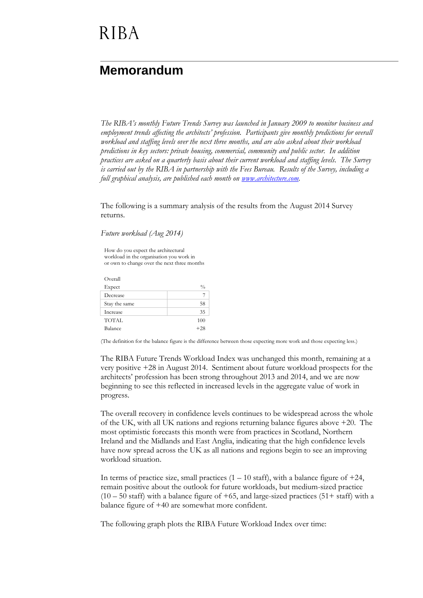## **Memorandum**

*The RIBA's monthly Future Trends Survey was launched in January 2009 to monitor business and employment trends affecting the architects' profession. Participants give monthly predictions for overall workload and staffing levels over the next three months, and are also asked about their workload predictions in key sectors: private housing, commercial, community and public sector. In addition practices are asked on a quarterly basis about their current workload and staffing levels. The Survey is carried out by the RIBA in partnership with the Fees Bureau. Results of the Survey, including a full graphical analysis, are published each month on [www.architecture.com.](http://www.architecture.com/)*

The following is a summary analysis of the results from the August 2014 Survey returns.

*Future workload (Aug 2014)*

How do you expect the architectural workload in the organisation you work in or own to change over the next three months

Overall  $\mathbf{Expected}$   $\%$ Decrease 7 Stay the same 58 Increase 35 TOTAL 100 Balance  $+28$ 

(The definition for the balance figure is the difference between those expecting more work and those expecting less.)

The RIBA Future Trends Workload Index was unchanged this month, remaining at a very positive +28 in August 2014. Sentiment about future workload prospects for the architects' profession has been strong throughout 2013 and 2014, and we are now beginning to see this reflected in increased levels in the aggregate value of work in progress.

The overall recovery in confidence levels continues to be widespread across the whole of the UK, with all UK nations and regions returning balance figures above +20. The most optimistic forecasts this month were from practices in Scotland, Northern Ireland and the Midlands and East Anglia, indicating that the high confidence levels have now spread across the UK as all nations and regions begin to see an improving workload situation.

In terms of practice size, small practices  $(1 - 10 \text{ staff})$ , with a balance figure of  $+24$ , remain positive about the outlook for future workloads, but medium-sized practice  $(10 - 50$  staff) with a balance figure of  $+65$ , and large-sized practices  $(51 + \text{staff})$  with a balance figure of +40 are somewhat more confident.

The following graph plots the RIBA Future Workload Index over time: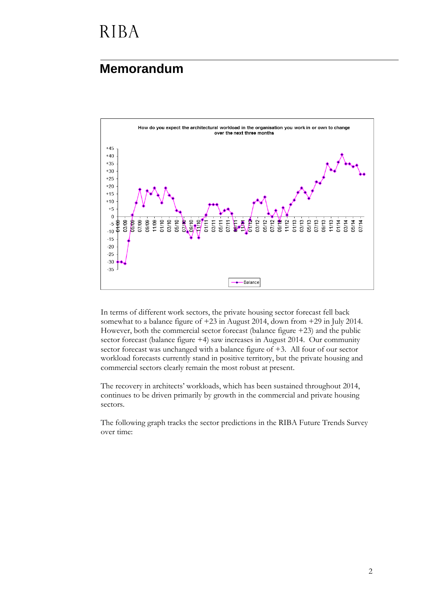# **RIBA**

### **Memorandum**



In terms of different work sectors, the private housing sector forecast fell back somewhat to a balance figure of +23 in August 2014, down from +29 in July 2014. However, both the commercial sector forecast (balance figure +23) and the public sector forecast (balance figure +4) saw increases in August 2014. Our community sector forecast was unchanged with a balance figure of  $+3$ . All four of our sector workload forecasts currently stand in positive territory, but the private housing and commercial sectors clearly remain the most robust at present.

The recovery in architects' workloads, which has been sustained throughout 2014, continues to be driven primarily by growth in the commercial and private housing sectors.

The following graph tracks the sector predictions in the RIBA Future Trends Survey over time: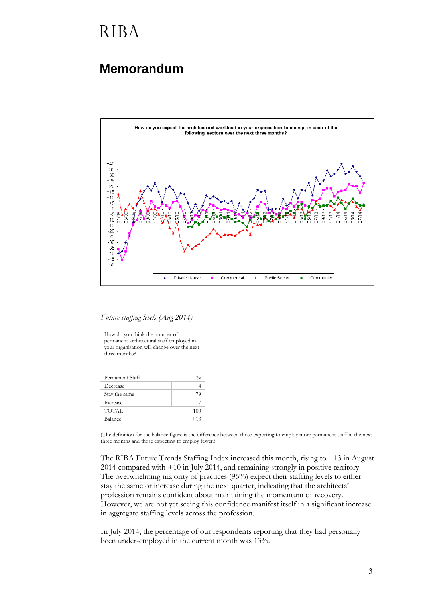## **RIBA**

#### **Memorandum**



#### *Future staffing levels (Aug 2014)*

How do you think the number of permanent architectural staff employed in your organisation will change over the next three months?

| Permanent Staff | $\frac{0}{0}$ |
|-----------------|---------------|
| Decrease        |               |
| Stay the same   | 79            |
| Increase        | 17            |
| <b>TOTAL</b>    | 100           |
| Balance         | $+13$         |

(The definition for the balance figure is the difference between those expecting to employ more permanent staff in the next three months and those expecting to employ fewer.)

The RIBA Future Trends Staffing Index increased this month, rising to +13 in August 2014 compared with +10 in July 2014, and remaining strongly in positive territory. The overwhelming majority of practices (96%) expect their staffing levels to either stay the same or increase during the next quarter, indicating that the architects' profession remains confident about maintaining the momentum of recovery. However, we are not yet seeing this confidence manifest itself in a significant increase in aggregate staffing levels across the profession.

In July 2014, the percentage of our respondents reporting that they had personally been under-employed in the current month was 13%.